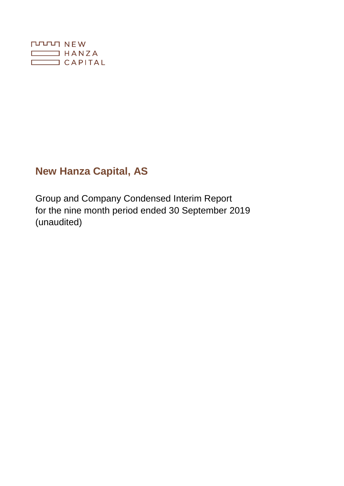

# **New Hanza Capital, AS**

Group and Company Condensed Interim Report for the nine month period ended 30 September 2019 (unaudited)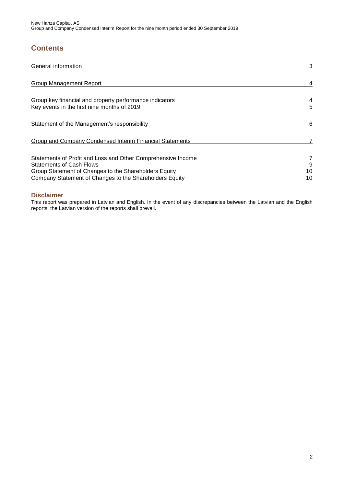## **Contents**

| <b>General information</b>                                                                                                                                                                                          | 3             |
|---------------------------------------------------------------------------------------------------------------------------------------------------------------------------------------------------------------------|---------------|
| <b>Group Management Report</b>                                                                                                                                                                                      |               |
| Group key financial and property performance indicators<br>Key events in the first nine months of 2019                                                                                                              | 4<br>5        |
| Statement of the Management's responsibility                                                                                                                                                                        | 6             |
| Group and Company Condensed Interim Financial Statements                                                                                                                                                            |               |
| Statements of Profit and Loss and Other Comprehensive Income<br><b>Statements of Cash Flows</b><br>Group Statement of Changes to the Shareholders Equity<br>Company Statement of Changes to the Shareholders Equity | 9<br>10<br>10 |

## **Disclaimer**

This report was prepared in Latvian and English. In the event of any discrepancies between the Latvian and the English reports, the Latvian version of the reports shall prevail.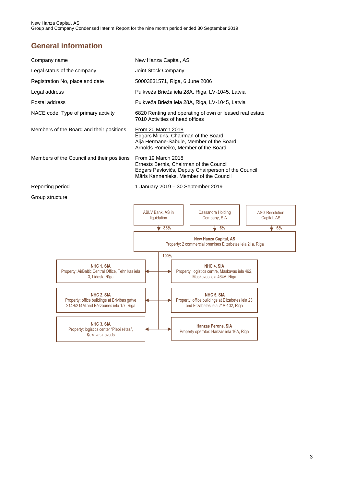## <span id="page-2-0"></span>**General information**

| Company name                                                                                         | New Hanza Capital, AS                                                                                                                                           |                                 |  |                                                                                                                          |                                      |  |
|------------------------------------------------------------------------------------------------------|-----------------------------------------------------------------------------------------------------------------------------------------------------------------|---------------------------------|--|--------------------------------------------------------------------------------------------------------------------------|--------------------------------------|--|
| Legal status of the company                                                                          | Joint Stock Company                                                                                                                                             |                                 |  |                                                                                                                          |                                      |  |
| Registration No, place and date                                                                      |                                                                                                                                                                 | 50003831571, Riga, 6 June 2006  |  |                                                                                                                          |                                      |  |
| Legal address                                                                                        |                                                                                                                                                                 |                                 |  | Pulkveža Brieža iela 28A, Riga, LV-1045, Latvia                                                                          |                                      |  |
| Postal address                                                                                       |                                                                                                                                                                 |                                 |  | Pulkveža Brieža iela 28A, Riga, LV-1045, Latvia                                                                          |                                      |  |
| NACE code, Type of primary activity                                                                  | 7010 Activities of head offices                                                                                                                                 |                                 |  | 6820 Renting and operating of own or leased real estate                                                                  |                                      |  |
| Members of the Board and their positions                                                             | From 20 March 2018                                                                                                                                              |                                 |  | Edgars Milūns, Chairman of the Board<br>Aija Hermane-Sabule, Member of the Board<br>Arnolds Romeiko, Member of the Board |                                      |  |
| Members of the Council and their positions                                                           | From 19 March 2018<br>Ernests Bernis, Chairman of the Council<br>Edgars Pavlovičs, Deputy Chairperson of the Council<br>Māris Kannenieks, Member of the Council |                                 |  |                                                                                                                          |                                      |  |
| Reporting period                                                                                     | 1 January 2019 - 30 September 2019                                                                                                                              |                                 |  |                                                                                                                          |                                      |  |
| Group structure                                                                                      |                                                                                                                                                                 |                                 |  |                                                                                                                          |                                      |  |
|                                                                                                      |                                                                                                                                                                 | ABLV Bank, AS in<br>liquidation |  | Cassandra Holding<br>Company, SIA                                                                                        | <b>ASG Resolution</b><br>Capital, AS |  |
|                                                                                                      |                                                                                                                                                                 | 88%                             |  | $\bullet$ 6%                                                                                                             | $\bullet$ 6%                         |  |
|                                                                                                      |                                                                                                                                                                 |                                 |  | <b>New Hanza Capital, AS</b><br>Property: 2 commercial premises Elizabetes iela 21a, Riga                                |                                      |  |
|                                                                                                      |                                                                                                                                                                 | 100%                            |  |                                                                                                                          |                                      |  |
| NHC 1, SIA<br>Property: AirBaltic Central Office, Tehnikas iela<br>3, Lidosta Rīga                   |                                                                                                                                                                 |                                 |  | NHC 4, SIA<br>Property: logistics centre, Maskavas iela 462,<br>Maskavas iela 464A, Riga                                 |                                      |  |
| NHC 2, SIA<br>Property: office buildings at Brīvības gatve<br>214B/214M and Bērzaunes iela 1/7, Riga | NHC 5, SIA<br>Property: office buildings at Elizabetes iela 23<br>and Elizabetes iela 21A-102, Riga                                                             |                                 |  |                                                                                                                          |                                      |  |
| NHC 3, SIA<br>Property: logistics center "Piepilsētas",<br>Kekavas novads                            | <b>Hanzas Perons, SIA</b><br>Property operator: Hanzas iela 16A, Riga                                                                                           |                                 |  |                                                                                                                          |                                      |  |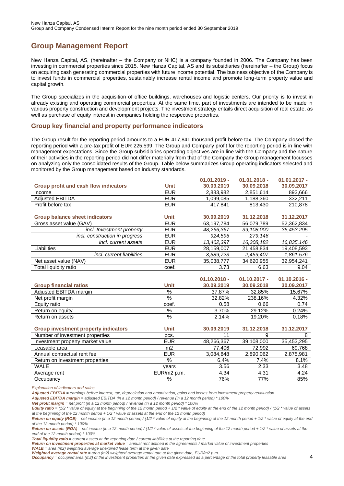## <span id="page-3-0"></span>**Group Management Report**

New Hanza Capital, AS, (hereinafter – the Company or NHC) is a company founded in 2006. The Company has been investing in commercial properties since 2015. New Hanza Capital, AS and its subsidiaries (hereinafter – the Group) focus on acquiring cash generating commercial properties with future income potential. The business objective of the Company is to invest funds in commercial properties, sustainably increase rental income and promote long-term property value and capital growth.

The Group specializes in the acquisition of office buildings, warehouses and logistic centers. Our priority is to invest in already existing and operating commercial properties. At the same time, part of investments are intended to be made in various property construction and development projects. The investment strategy entails direct acquisition of real estate, as well as purchase of equity interest in companies holding the respective properties.

### <span id="page-3-1"></span>**Group key financial and property performance indicators**

The Group result for the reporting period amounts to a EUR 417,841 thousand profit before tax. The Company closed the reporting period with a pre-tax profit of EUR 225,599. The Group and Company profit for the reporting period is in line with management expectations. Since the Group subsidiaries operating objectives are in line with the Company and the nature of their activities in the reporting period did not differ materially from that of the Company the Group management focusses on analyzing only the consolidated results of the Group. Table below summarizes Group operating indicators selected and monitored by the Group management based on industry standards.

|                                       |             | $01.01.2019 -$ | $01.01.2018 -$ | $01.01.2017 -$ |
|---------------------------------------|-------------|----------------|----------------|----------------|
| Group profit and cash flow indicators | <b>Unit</b> | 30.09.2019     | 30.09.2018     | 30.09.2017     |
| Income                                | <b>EUR</b>  | 2.883.982      | 2.851.614      | 893,666        |
| <b>Adiusted EBITDA</b>                | <b>EUR</b>  | 1.099.085      | 1.188.360      | 332,211        |
| Profit before tax                     | <b>EUR</b>  | 417.841        | 813.430        | 210,878        |
|                                       |             |                |                |                |
| <b>Group balance sheet indicators</b> | <b>Unit</b> | 30.09.2019     | 31.12.2018     | 31.12.2017     |
| Gross asset value (GAV)               | <b>EUR</b>  | 63.197.784     | 56.079.789     | 52.362.834     |
| incl. Investment property             | <b>EUR</b>  | 48.266.367     | 39.108.000     | 35,453,295     |
| incl. construction in progress        | <b>EUR</b>  | 924,595        | 279,146        |                |
| incl. current assets                  | <b>EUR</b>  | 13.402.397     | 16.308.182     | 16,835,146     |
| Liabilities                           | <b>EUR</b>  | 28.159.007     | 21.458.834     | 19.408.593     |
| <i>incl.</i> current liabilities      | <b>EUR</b>  | 3,589,723      | 2,459,407      | 1,861,576      |
| Net asset value (NAV)                 | <b>EUR</b>  | 35.038.777     | 34.620.955     | 32,954,241     |
| Total liquidity ratio                 | coef.       | 3.73           | 6.63           | 9.04           |
|                                       |             |                |                |                |

|                               |             | $01.10.2018 -$ | $01.10.2017 -$ | $01.10.2016 -$ |
|-------------------------------|-------------|----------------|----------------|----------------|
| <b>Group financial ratios</b> | <b>Unit</b> | 30.09.2019     | 30.09.2018     | 30.09.2017     |
| Adjusted EBITDA margin        | %           | 37.87%         | 32.85%         | 15.67%         |
| Net profit margin             | %           | 32.82%         | 238.16%        | 4.32%          |
| Equity ratio                  | coef.       | 0.58           | 0.66           | 0.74           |
| Return on equity              | %           | 3.70%          | 29.12%         | 0.24%          |
| Return on assets              | %           | 2.14%          | 19.20%         | 0.18%          |

| <b>Group investment property indicators</b> | <b>Unit</b> | 30.09.2019 | 31.12.2018 | 31.12.2017 |
|---------------------------------------------|-------------|------------|------------|------------|
| Number of investment properties             | DCS.        |            |            |            |
| Investment property market value            | EUR         | 48,266,367 | 39,108,000 | 35,453,295 |
| Leasable area                               | m2          | 77,406     | 72.992     | 69,768     |
| Annual contractual rent fee                 | <b>EUR</b>  | 3,084,848  | 2,890,062  | 2,875,981  |
| Return on investment properties             | %           | 6.4%       | 7.4%       | 8.1%       |
| WALE                                        | vears       | 3.56       | 2.33       | 3.48       |
| Average rent                                | EUR/m2 p.m. | 4.34       | 4.31       | 4.24       |
| Occupancy                                   | %           | 76%        | 77%        | 85%        |

*Explanation of indicators and ratios*

*Adjusted EBITDA = earnings before interest, tax, depreciation and amortization, gains and losses from investment property revaluation*

*Adjusted EBITDA margin = adjusted EBITDA (in a 12 month period) / revenue (in a 12 month period) \* 100%*

*Net profit margin = net profit (in a 12 month period) / revenue (in a 12 month period) \* 100%*

*Return on equity (ROE) = net income (in a 12 month period) / (1/2 \* value of equity at the beginning of the 12 month period + 1/2 \* value of equity at the end of the 12 month period) \* 100%*

*Return on assets (ROA) = net income (in a 12 month period) / (1/2 \* value of assets at the beginning of the 12 month period + 1/2 \* value of assets at the end of the 12 month period) \* 100%*

*Total liquidity ratio = current assets at the reporting date / current liabilities at the reporting date*

Return on investment properties at market value = annual rent defined in the agreements / market value of investment properties

*WALE = area (m2) weighted average unexpired lease term at the given date*

*Weighted average rental rate = area (m2) weighted average rental rate at the given date, EUR/m2 p.m.* 

*Occupancy = occupied area (m2) of the investment properties at the given date expressed as a percentage of the total property leasable area*

*Equity ratio = (1/2 \* value of equity at the beginning of the 12 month period + 1/2 \* value of equity at the end of the 12 month period) / (1/2 \* value of assets at the beginning of the 12 month period + 1/2 \* value of assets at the end of the 12 month period)*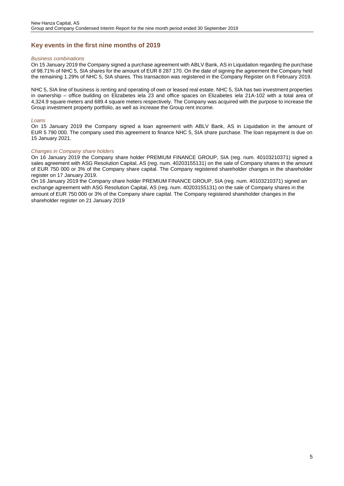### <span id="page-4-0"></span>**Key events in the first nine months of 2019**

#### *Business combinations*

On 15 January 2019 the Company signed a purchase agreement with ABLV Bank, AS in Liquidation regarding the purchase of 98.71% of NHC 5, SIA shares for the amount of EUR 8 287 170. On the date of signing the agreement the Company held the remaining 1.29% of NHC 5, SIA shares. This transaction was registered in the Company Register on 8 February 2019.

NHC 5, SIA line of business is renting and operating of own or leased real estate. NHC 5, SIA has two investment properties in ownership – office building on Elizabetes iela 23 and office spaces on Elizabetes iela 21A-102 with a total area of 4,324.9 square meters and 689.4 square meters respectively. The Company was acquired with the purpose to increase the Group investment property portfolio, as well as increase the Group rent income.

#### *Loans*

On 15 January 2019 the Company signed a loan agreement with ABLV Bank, AS in Liquidation in the amount of EUR 5 790 000. The company used this agreement to finance NHC 5, SIA share purchase. The loan repayment is due on 15 January 2021.

#### *Changes in Company share holders*

On 16 January 2019 the Company share holder PREMIUM FINANCE GROUP, SIA (reg. num. 40103210371) signed a sales agreement with ASG Resolution Capital, AS (reg. num. 40203155131) on the sale of Company shares in the amount of EUR 750 000 or 3% of the Company share capital. The Company registered shareholder changes in the shareholder register on 17 January 2019.

On 16 January 2019 the Company share holder PREMIUM FINANCE GROUP, SIA (reg. num. 40103210371) signed an exchange agreement with ASG Resolution Capital, AS (reg. num. 40203155131) on the sale of Company shares in the amount of EUR 750 000 or 3% of the Company share capital. The Company registered shareholder changes in the shareholder register on 21 January 2019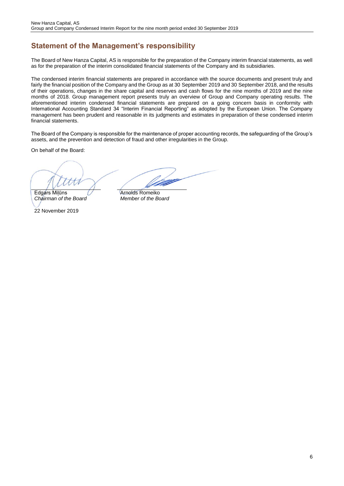## **Statement of the Management's responsibility**

The Board of New Hanza Capital, AS is responsible for the preparation of the Company interim financial statements, as well as for the preparation of the interim consolidated financial statements of the Company and its subsidiaries.

The condensed interim financial statements are prepared in accordance with the source documents and present truly and fairly the financial position of the Company and the Group as at 30 September 2019 and 30 September 2018, and the results of their operations, changes in the share capital and reserves and cash flows for the nine months of 2019 and the nine months of 2018. Group management report presents truly an overview of Group and Company operating results. The aforementioned interim condensed financial statements are prepared on a going concern basis in conformity with International Accounting Standard 34 "Interim Financial Reporting" as adopted by the European Union. The Company management has been prudent and reasonable in its judgments and estimates in preparation of these condensed interim financial statements.

The Board of the Company is responsible for the maintenance of proper accounting records, the safeguarding of the Group's assets, and the prevention and detection of fraud and other irregularities in the Group.

On behalf of the Board:

Edgárs Milūns **Arnolds Romeiko**<br>
Chairman of the Board **Arnolds** Member of the Board *Chairman of the Board Member of the Board*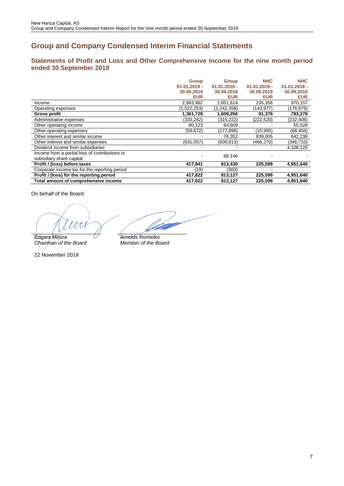## **Group and Company Condensed Interim Financial Statements**

## <span id="page-6-0"></span>**Statements of Profit and Loss and Other Comprehensive Income for the nine month period ended 30 September 2019**

|                                                                            | <b>Group</b><br>$01.01.2019 -$<br>30.09.2019<br><b>EUR</b> | <b>Group</b><br>$01.01.2018 -$<br>30.09.2018<br><b>EUR</b> | <b>NHC</b><br>$01.01.2019 -$<br>30.09.2019<br><b>EUR</b> | <b>NHC</b><br>$01.01.2018 -$<br>30.09.2018<br><b>EUR</b> |
|----------------------------------------------------------------------------|------------------------------------------------------------|------------------------------------------------------------|----------------------------------------------------------|----------------------------------------------------------|
| Income                                                                     | 2,883,982                                                  | 2,851,614                                                  | 235,356                                                  | 970,157                                                  |
| Operating expenses                                                         | (1,522,253)                                                | (1, 242, 358)                                              | (143,977)                                                | (176,879)                                                |
| <b>Gross profit</b>                                                        | 1,361,729                                                  | 1,609,256                                                  | 91,379                                                   | 793,278                                                  |
| Administrative expenses                                                    | (333, 282)                                                 | (315, 222)                                                 | (222, 520)                                               | (232, 408)                                               |
| Other operating income                                                     | 80,123                                                     | 64,609                                                     |                                                          | 55,526                                                   |
| Other operating expenses                                                   | (59, 672)                                                  | (177, 898)                                                 | (15,995)                                                 | (68, 404)                                                |
| Other interest and similar income                                          |                                                            | 76,352                                                     | 839,005                                                  | 642,238                                                  |
| Other interest and similar expenses                                        | (631,057)                                                  | (509, 813)                                                 | (466,270)                                                | (346,710)                                                |
| Dividend income from subsidiaries                                          |                                                            |                                                            |                                                          | 4,108,120                                                |
| Income from a partial loss of contributions to<br>subsidiary share capital |                                                            | 66.146                                                     |                                                          |                                                          |
| Profit / (loss) before taxes                                               | 417,841                                                    | 813,430                                                    | 225.599                                                  | 4,951,640                                                |
| Corporate income tax for the reporting period                              | (19)                                                       | (303)                                                      |                                                          |                                                          |
| Profit / (loss) for the reporting period                                   | 417,822                                                    | 813,127                                                    | 225,599                                                  | 4,951,640                                                |
| Total amount of comprehensive income                                       | 417,822                                                    | 813,127                                                    | 225,599                                                  | 4,951,640                                                |

On behalf of the Board:

Edgars Miļūns **Arnolds Romeiko**<br>
Chairman of the Board Member of the Board  $Chairman$  of the Board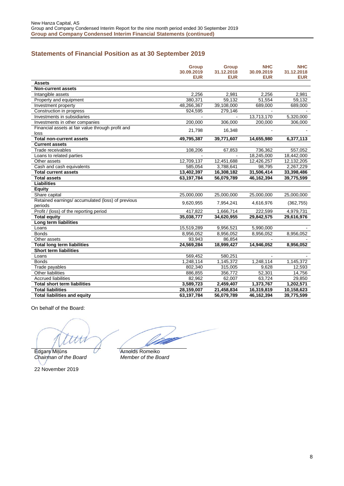## **Statements of Financial Position as at 30 September 2019**

|                                                   | <b>Group</b> | <b>Group</b> | <b>NHC</b> | <b>NHC</b> |
|---------------------------------------------------|--------------|--------------|------------|------------|
|                                                   | 30.09.2019   | 31.12.2018   | 30.09.2019 | 31.12.2018 |
|                                                   | <b>EUR</b>   | <b>EUR</b>   | <b>EUR</b> | <b>EUR</b> |
| <b>Assets</b>                                     |              |              |            |            |
| <b>Non-current assets</b>                         |              |              |            |            |
| Intangible assets                                 | 2,256        | 2,981        | 2,256      | 2,981      |
| Property and equipment                            | 380,371      | 59,132       | 51,554     | 59,132     |
| Investment property                               | 48,266,367   | 39,108,000   | 689,000    | 689,000    |
| Construction in progress                          | 924,595      | 279,146      |            |            |
| Investments in subsidiaries                       |              |              | 13,713,170 | 5,320,000  |
| Investments in other companies                    | 200,000      | 306,000      | 200,000    | 306,000    |
| Financial assets at fair value through profit and | 21,798       |              |            |            |
| loss                                              |              | 16,348       |            |            |
| <b>Total non-current assets</b>                   | 49,795,387   | 39,771,607   | 14,655,980 | 6,377,113  |
| <b>Current assets</b>                             |              |              |            |            |
| Trade receivables                                 | 108,206      | 67,853       | 736,362    | 557,052    |
| Loans to related parties                          |              |              | 18,245,000 | 18,442,000 |
| Other assets                                      | 12,709,137   | 12,451,688   | 12,426,257 | 12,132,205 |
| Cash and cash equivalents                         | 585,054      | 3,788,641    | 98,795     | 2,267,229  |
| <b>Total current assets</b>                       | 13,402,397   | 16,308,182   | 31,506,414 | 33,398,486 |
| <b>Total assets</b>                               | 63,197,784   | 56,079,789   | 46,162,394 | 39,775,599 |
| <b>Liabilities</b>                                |              |              |            |            |
| <b>Equity</b>                                     |              |              |            |            |
| Share capital                                     | 25,000,000   | 25,000,000   | 25,000,000 | 25,000,000 |
| Retained earnings/ accumulated (loss) of previous | 9,620,955    | 7,954,241    | 4,616,976  | (362, 755) |
| periods                                           |              |              |            |            |
| Profit / (loss) of the reporting period           | 417,822      | 1,666,714    | 222,599    | 4,979,731  |
| <b>Total equity</b>                               | 35,038,777   | 34,620,955   | 29,842,575 | 29,616,976 |
| Long term liabilities                             |              |              |            |            |
| Loans                                             | 15,519,289   | 9,956,521    | 5,990,000  |            |
| <b>Bonds</b>                                      | 8,956,052    | 8,956,052    | 8,956,052  | 8,956,052  |
| Other assets                                      | 93,943       | 86,854       |            |            |
| <b>Total long term liabilities</b>                | 24,569,284   | 18,999,427   | 14,946,052 | 8,956,052  |
| <b>Short term liabilities</b>                     |              |              |            |            |
| Loans                                             | 569,452      | 580,251      |            |            |
| <b>Bonds</b>                                      | 1,248,114    | 1,145,372    | 1,248,114  | 1,145,372  |
| Trade payables                                    | 802,340      | 315,005      | 9,628      | 12,593     |
| <b>Other liabilities</b>                          | 886,855      | 356,772      | 52,301     | 14,756     |
| <b>Accrued liabilities</b>                        | 82,962       | 62.007       | 63,724     | 29,850     |
| <b>Total short term liabilities</b>               | 3,589,723    | 2,459,407    | 1,373,767  | 1,202,571  |
| <b>Total liabilities</b>                          | 28,159,007   | 21,458,834   | 16,319,819 | 10,158,623 |
| <b>Total liabilities and equity</b>               | 63,197,784   | 56,079,789   | 46,162,394 | 39,775,599 |

On behalf of the Board:

 $\cal{H}$ 

Edgars Milūns **Arnolds Romeiko**<br>Chairman of the Board Member of the Board *Chairman of the Board Member of the Board*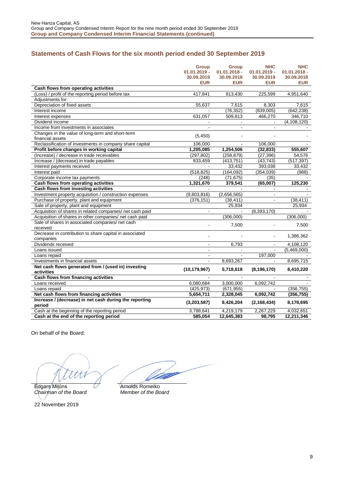## <span id="page-8-0"></span>**Statements of Cash Flows for the six month period ended 30 September 2019**

|                                                                  | <b>Group</b><br>$01.01.2019 -$<br>30.09.2019<br><b>EUR</b> | <b>Group</b><br>$01.01.2018 -$<br>30.09.2018<br>EUR | <b>NHC</b><br>$01.01.2019 -$<br>30.09.2019<br><b>EUR</b> | <b>NHC</b><br>$01.01.2018 -$<br>30.09.2018<br><b>EUR</b> |
|------------------------------------------------------------------|------------------------------------------------------------|-----------------------------------------------------|----------------------------------------------------------|----------------------------------------------------------|
| Cash flows from operating activities                             |                                                            |                                                     |                                                          |                                                          |
| (Loss) / profit of the reporting period before tax               | 417,841                                                    | 813,430                                             | 225,599                                                  | 4,951,640                                                |
| Adiustments for:                                                 |                                                            |                                                     |                                                          |                                                          |
| Depreciation of fixed assets                                     | 55,637                                                     | 7,615                                               | 8,303                                                    | 7,615                                                    |
| Interest income                                                  |                                                            | (76, 352)                                           | (839,005)                                                | (642, 238)                                               |
| Interest expenses                                                | 631,057                                                    | 509,813                                             | 466,270                                                  | 346,710                                                  |
| Dividend income                                                  | $\blacksquare$                                             | $\blacksquare$                                      | $\blacksquare$                                           | (4, 108, 120)                                            |
| Income from investments in associates                            |                                                            |                                                     |                                                          |                                                          |
| Changes in the value of long-term and short-term                 | (5, 450)                                                   |                                                     |                                                          |                                                          |
| financial assets                                                 |                                                            |                                                     |                                                          |                                                          |
| Reclassification of investments in company share capital         | 106,000                                                    |                                                     | 106,000                                                  |                                                          |
| Profit before changes in working capital                         | 1,205,085                                                  | 1,254,506                                           | (32, 833)                                                | 555,607                                                  |
| (Increase) / decrease in trade receivables                       | (297, 802)                                                 | (258, 879)                                          | (27, 396)                                                | 54,576                                                   |
| Increase / (decrease) in trade payables                          | 833,459                                                    | (413, 751)                                          | (43, 743)                                                | (517, 397)                                               |
| Interest payments received                                       | $\blacksquare$                                             | 33,432                                              | 393,038                                                  | 33,432                                                   |
| Interest paid                                                    | (518, 825)                                                 | (164, 092)                                          | (354, 039)                                               | (988)                                                    |
| Corporate income tax payments                                    | (248)                                                      | (71, 675)                                           | (35)                                                     |                                                          |
| Cash flows from operating activities                             | 1,321,670                                                  | 379,541                                             | (65,007)                                                 | 125,230                                                  |
| Cash flows from investing activities                             |                                                            |                                                     |                                                          |                                                          |
| Investment property acquisition / construction expenses          | (9,803,816)                                                | (2,656,565)                                         | $\blacksquare$                                           |                                                          |
| Purchase of property, plant and equipment                        | (376, 151)                                                 | (38, 411)                                           |                                                          | (38, 411)                                                |
| Sale of property, plant and equipment                            |                                                            | 25,934                                              |                                                          | 25,934                                                   |
| Acquisition of shares in related companies/ net cash paid        | $\blacksquare$                                             |                                                     | (8,393,170)                                              |                                                          |
| Acquisition of shares in other companies/ net cash paid          |                                                            | (306,000)                                           |                                                          | (306,000)                                                |
| Sale of shares in associated companies/ net cash                 |                                                            | 7,500                                               |                                                          | 7,500                                                    |
| received                                                         |                                                            |                                                     |                                                          |                                                          |
| Decrease in contribution to share capital in associated          | L.                                                         |                                                     | $\blacksquare$                                           | 1,386,362                                                |
| companies                                                        |                                                            |                                                     |                                                          |                                                          |
| Dividends received                                               | $\blacksquare$                                             | 6,793                                               | $\blacksquare$                                           | 4,108,120                                                |
| Loans issued                                                     | $\blacksquare$                                             |                                                     |                                                          | (5,469,000)                                              |
| Loans repaid                                                     | $\blacksquare$                                             |                                                     | 197,000                                                  |                                                          |
| Investments in financial assets                                  |                                                            | 8,693,267                                           |                                                          | 8,695,715                                                |
| Net cash flows generated from / (used in) investing              | (10, 179, 967)                                             | 5,718,618                                           | (8, 196, 170)                                            | 8,410,220                                                |
| activities                                                       |                                                            |                                                     |                                                          |                                                          |
| Cash flows from financing activities                             |                                                            |                                                     |                                                          |                                                          |
| Loans received                                                   | 6,080,684                                                  | 3,000,000                                           | 6,092,742                                                |                                                          |
| Loans repaid                                                     | (425, 973)                                                 | (671, 955)                                          |                                                          | (356, 755)                                               |
| Net cash flows from financing activities                         | 5,654,711                                                  | 2,328,045                                           | 6,092,742                                                | (356, 755)                                               |
| Increase / (decrease) in net cash during the reporting<br>period | (3,203,587)                                                | 8,426,204                                           | (2, 168, 434)                                            | 8,178,695                                                |
| Cash at the beginning of the reporting period                    | 3,788,641                                                  | 4,219,179                                           | 2,267,229                                                | 4,032,651                                                |
| Cash at the end of the reporting period                          | 585,054                                                    | 12,645,383                                          | 98,795                                                   | 12,211,346                                               |

On behalf of the Board:

Edgars Milūns **Arnolds Romeiko**<br>Chairman of the Board Member of the Board  $Chairman$  of the Board